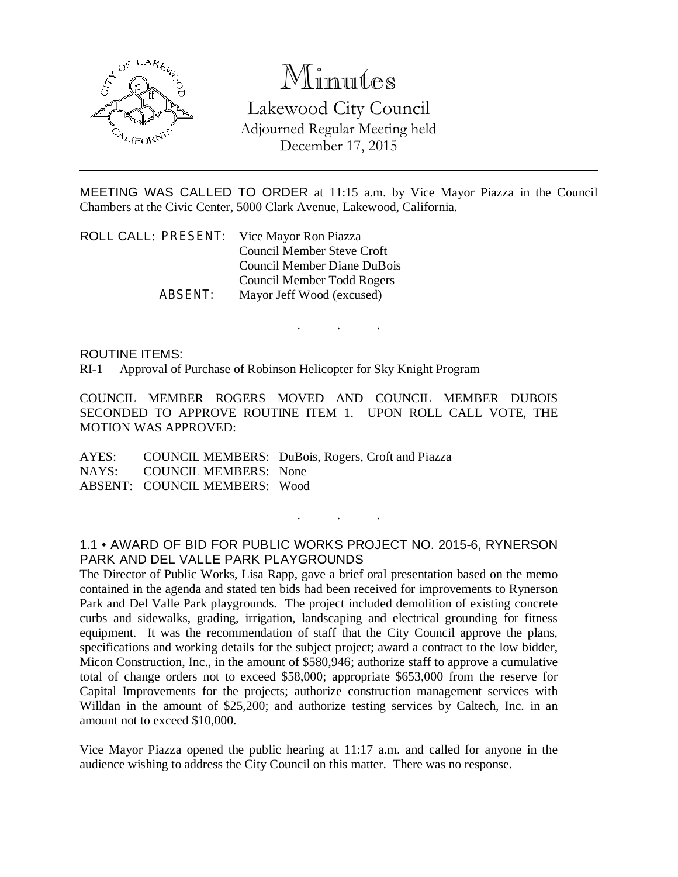

## Minutes

Lakewood City Council Adjourned Regular Meeting held December 17, 2015

MEETING WAS CALLED TO ORDER at 11:15 a.m. by Vice Mayor Piazza in the Council Chambers at the Civic Center, 5000 Clark Avenue, Lakewood, California.

. . .

ROLL CALL: PRESENT: Vice Mayor Ron Piazza Council Member Steve Croft Council Member Diane DuBois Council Member Todd Rogers ABSENT: Mayor Jeff Wood (excused)

ROUTINE ITEMS:

RI-1 Approval of Purchase of Robinson Helicopter for Sky Knight Program

COUNCIL MEMBER ROGERS MOVED AND COUNCIL MEMBER DUBOIS SECONDED TO APPROVE ROUTINE ITEM 1. UPON ROLL CALL VOTE, THE MOTION WAS APPROVED:

AYES: COUNCIL MEMBERS: DuBois, Rogers, Croft and Piazza NAYS: COUNCIL MEMBERS: None ABSENT: COUNCIL MEMBERS: Wood

## 1.1 • AWARD OF BID FOR PUBLIC WORKS PROJECT NO. 2015-6, RYNERSON PARK AND DEL VALLE PARK PLAYGROUNDS

. . .

The Director of Public Works, Lisa Rapp, gave a brief oral presentation based on the memo contained in the agenda and stated ten bids had been received for improvements to Rynerson Park and Del Valle Park playgrounds. The project included demolition of existing concrete curbs and sidewalks, grading, irrigation, landscaping and electrical grounding for fitness equipment. It was the recommendation of staff that the City Council approve the plans, specifications and working details for the subject project; award a contract to the low bidder, Micon Construction, Inc., in the amount of \$580,946; authorize staff to approve a cumulative total of change orders not to exceed \$58,000; appropriate \$653,000 from the reserve for Capital Improvements for the projects; authorize construction management services with Willdan in the amount of \$25,200; and authorize testing services by Caltech, Inc. in an amount not to exceed \$10,000.

Vice Mayor Piazza opened the public hearing at 11:17 a.m. and called for anyone in the audience wishing to address the City Council on this matter. There was no response.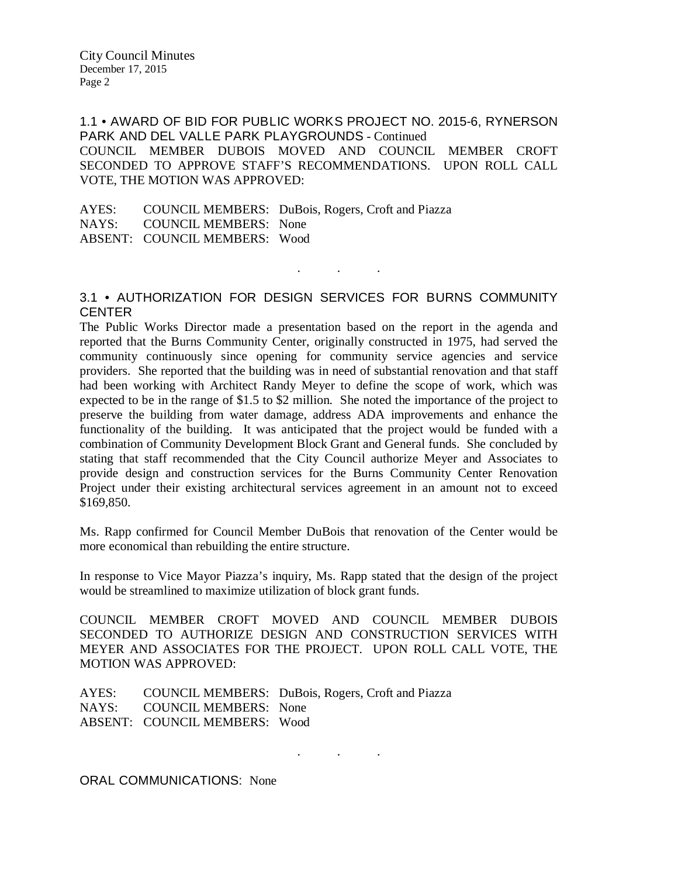City Council Minutes December 17, 2015 Page 2

1.1 • AWARD OF BID FOR PUBLIC WORKS PROJECT NO. 2015-6, RYNERSON PARK AND DEL VALLE PARK PLAYGROUNDS - Continued COUNCIL MEMBER DUBOIS MOVED AND COUNCIL MEMBER CROFT SECONDED TO APPROVE STAFF'S RECOMMENDATIONS. UPON ROLL CALL VOTE, THE MOTION WAS APPROVED:

AYES: COUNCIL MEMBERS: DuBois, Rogers, Croft and Piazza NAYS: COUNCIL MEMBERS: None ABSENT: COUNCIL MEMBERS: Wood

## 3.1 • AUTHORIZATION FOR DESIGN SERVICES FOR BURNS COMMUNITY **CENTER**

. . .

The Public Works Director made a presentation based on the report in the agenda and reported that the Burns Community Center, originally constructed in 1975, had served the community continuously since opening for community service agencies and service providers. She reported that the building was in need of substantial renovation and that staff had been working with Architect Randy Meyer to define the scope of work, which was expected to be in the range of \$1.5 to \$2 million. She noted the importance of the project to preserve the building from water damage, address ADA improvements and enhance the functionality of the building. It was anticipated that the project would be funded with a combination of Community Development Block Grant and General funds. She concluded by stating that staff recommended that the City Council authorize Meyer and Associates to provide design and construction services for the Burns Community Center Renovation Project under their existing architectural services agreement in an amount not to exceed \$169,850.

Ms. Rapp confirmed for Council Member DuBois that renovation of the Center would be more economical than rebuilding the entire structure.

In response to Vice Mayor Piazza's inquiry, Ms. Rapp stated that the design of the project would be streamlined to maximize utilization of block grant funds.

COUNCIL MEMBER CROFT MOVED AND COUNCIL MEMBER DUBOIS SECONDED TO AUTHORIZE DESIGN AND CONSTRUCTION SERVICES WITH MEYER AND ASSOCIATES FOR THE PROJECT. UPON ROLL CALL VOTE, THE MOTION WAS APPROVED:

. . .

AYES: COUNCIL MEMBERS: DuBois, Rogers, Croft and Piazza NAYS: COUNCIL MEMBERS: None ABSENT: COUNCIL MEMBERS: Wood

ORAL COMMUNICATIONS: None